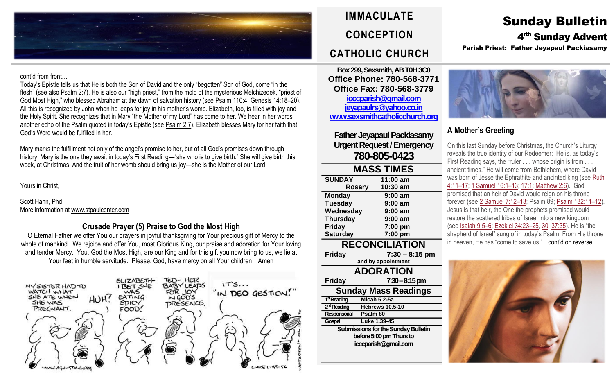

#### cont'd from front…

Today's Epistle tells us that He is both the Son of David and the only "begotten" Son of God, come "in the flesh" (see also [Psalm](https://biblia.com/bible/rsvce/Ps%202.7) 2:7). He is also our "high priest," from the mold of the mysterious Melchizedek, "priest of God Most High," who blessed Abraham at the dawn of salvation history (see [Psalm](https://biblia.com/bible/rsvce/Ps%20110.4) 110:4; [Genesis](https://biblia.com/bible/rsvce/Gen%2014.18%E2%80%9320) 14:18–20). All this is recognized by John when he leaps for joy in his mother's womb. Elizabeth, too, is filled with joy and the Holy Spirit. She recognizes that in Mary "the Mother of my Lord" has come to her. We hear in her words another echo of the Psalm quoted in today's Epistle (see [Psalm](https://biblia.com/bible/rsvce/Ps%202.7) 2:7). Elizabeth blesses Mary for her faith that God's Word would be fulfilled in her.

Mary marks the fulfillment not only of the angel's promise to her, but of all God's promises down through history. Mary is the one they await in today's First Reading—"she who is to give birth." She will give birth this week, at Christmas. And the fruit of her womb should bring us joy—she is the Mother of our Lord.

Yours in Christ,

Scott Hahn, Phd More information at [www.stpaulcenter.com](http://www.stpaulcenter.com/)

#### **Crusade Prayer (5) Praise to God the Most High**

O Eternal Father we offer You our prayers in joyful thanksgiving for Your precious gift of Mercy to the whole of mankind. We rejoice and offer You, most Glorious King, our praise and adoration for Your loving and tender Mercy. You, God the Most High, are our King and for this gift you now bring to us, we lie at Your feet in humble servitude. Please, God, have mercy on all Your children…Amen



## **IMMACULATE CONCEPTION CATHOLIC CHURCH**

**Box 299, Sexsmith, AB T0H 3C0 Office Phone: 780-568-3771 Office Fax: 780-568-3779 [icccparish@gmail.com](mailto:icccparish@gmail.com) [jeyapaulrs@yahoo.co.in](mailto:jeyapaulrs@yahoo.co.in) [www.sexsmithcatholicchurch.org](http://www.sexsmithcatholicchurch.org/)**

**Father Jeyapaul Packiasamy Urgent Request/Emergency 780-805-0423**

| <b>MASS TIMES</b>     |                  |  |  |  |
|-----------------------|------------------|--|--|--|
| <b>SUNDAY</b>         | 11:00 am         |  |  |  |
| <b>Rosary</b>         | 10:30 am         |  |  |  |
| <b>Monday</b>         | $9:00$ am        |  |  |  |
| <b>Tuesday</b>        | $9:00$ am        |  |  |  |
| Wednesday             | $9:00$ am        |  |  |  |
| <b>Thursday</b>       | $9:00$ am        |  |  |  |
| <b>Friday</b>         | 7:00 pm          |  |  |  |
| <b>Saturday</b>       | 7:00 pm          |  |  |  |
| <b>RECONCILIATION</b> |                  |  |  |  |
| <b>Friday</b>         | $7:30 - 8:15$ pm |  |  |  |
|                       |                  |  |  |  |

**and by appointment ADORATION Friday 7:30–8:15 pm Sunday Mass Readings** 1<sup>st</sup> Reading **stReading Micah 5.2-5a** 2<sup>nd</sup> Reading **hebrews 10.5-10 Responsorial Psalm 80 Gospel Luke 1.39-45 Submissions for the Sunday Bulletin before 5:00 pm Thursto icccparish@gmail.com**

# Sunday Bulletin

4<sup>rth</sup> Sunday Advent

Parish Priest: Father Jeyapaul Packiasamy



### **A Mother's Greeting**

On this last Sunday before Christmas, the Church's Liturgy reveals the true identity of our Redeemer: He is, as today's First Reading says, the "ruler . . . whose origin is from . . . ancient times." He will come from Bethlehem, where David was born of Jesse the Ephrathite and anointed king (see [Ruth](https://biblia.com/bible/rsvce/Ruth%204.11%E2%80%9317) [4:11](https://biblia.com/bible/rsvce/Ruth%204.11%E2%80%9317)–17; 1 [Samuel](https://biblia.com/bible/rsvce/1%20Sam%2016.1%E2%80%9313) 16:1–13; [17:1;](https://biblia.com/bible/rsvce/1%20Samuel%2017.1) [Matthew](https://biblia.com/bible/rsvce/Matt%202.6) 2:6). God promised that an heir of David would reign on his throne forever (see 2 [Samuel](https://biblia.com/bible/rsvce/2%20Sam%207.12%E2%80%9313) 7:12–13; Psalm 89; Psalm [132:11](https://biblia.com/bible/rsvce/Ps%20132.11%E2%80%9312)–12). Jesus is that heir, the One the prophets promised would restore the scattered tribes of Israel into a new kingdom (see [Isaiah](https://biblia.com/bible/rsvce/Isa%209.5%E2%80%936) 9:5–6; [Ezekiel](https://biblia.com/bible/rsvce/Ezek%2034.23%E2%80%9325) 34:23–25, [30;](https://biblia.com/bible/rsvce/Ezekiel%2034.30) [37:35\)](https://biblia.com/bible/rsvce/Ezekiel%2037.35). He is "the shepherd of Israel" sung of in today's Psalm. From His throne in heaven, He has "come to save us."…cont'd on reverse.